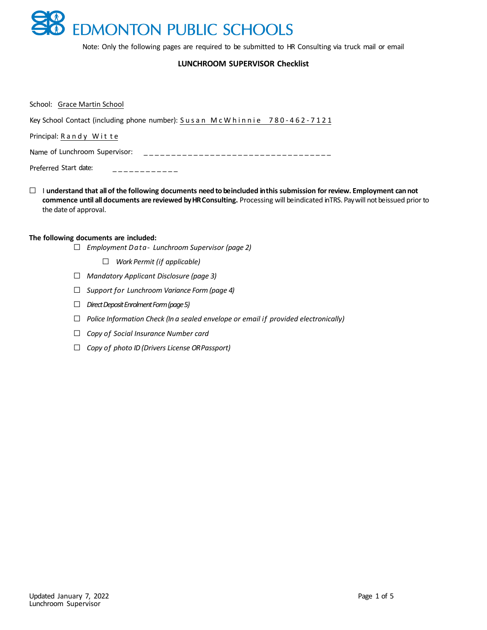

Note: Only the following pages are required to be submitted to HR Consulting via truck mail or email

## **LUNCHROOM SUPERVISOR Checklist**

School: Grace Martin School Key School Contact (including phone number): Susan McWhinnie 780-462-7121 Principal: Randy Witte Name of Lunchroom Supervisor: \_\_\_\_\_\_\_\_\_\_\_\_\_\_\_\_\_\_\_\_\_\_\_\_\_\_\_\_\_\_\_\_\_\_ Preferred Start date: \_\_\_\_\_\_\_\_\_\_\_\_\_

□ **I** understand that all of the following documents need to beincluded inthis submission for review. Employment can not commence until all documents are reviewed by HR Consulting. Processing will beindicated in TRS. Pay will not beissued prior to the date of approval.

#### **The following documents are included:**

- □ *Employment Data- Lunchroom Supervisor (page 2)* 
	- □ *Work Permit (if applicable)*
- □ *Mandatory Applicant Disclosure (page 3)*
- □ *Support for Lunchroom Variance Form (page 4)*
- □ *Direct Deposit Enrolment Form (page 5)*
- □ *Police Information Check (In a sealed envelope or email if provided electronically)*
- □ *Copy of Social Insurance Number card*
- □ *Copy of photo ID (Drivers License OR Passport)*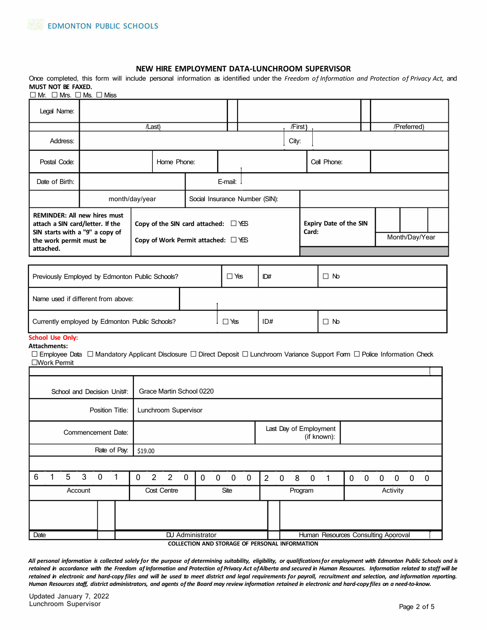#### **NEW HIRE EMPLOYMENT DATA-LUNCHROOM SUPERVISOR**

Once completed, this form will include personal information as identified under the *Freedom of Information and Protection of Privacy Act,* and **MUST NOT BE FAXED.**   $\Box$  Mr.  $\Box$  Mrs.  $\Box$  Miss.

| $\Box$ IVII. $\Box$ IVIIS. $\Box$ IVIS. $\Box$ IVIISS                   |                                                                                                                                |  |                                           |                     |                                |             |            |             |                                       |             |                                        |         |                |                |             |             |              |          |            |             |  |
|-------------------------------------------------------------------------|--------------------------------------------------------------------------------------------------------------------------------|--|-------------------------------------------|---------------------|--------------------------------|-------------|------------|-------------|---------------------------------------|-------------|----------------------------------------|---------|----------------|----------------|-------------|-------------|--------------|----------|------------|-------------|--|
| Legal Name:                                                             |                                                                                                                                |  |                                           |                     |                                |             |            |             |                                       |             |                                        |         |                |                |             |             |              |          |            |             |  |
|                                                                         | /Last)                                                                                                                         |  |                                           |                     |                                |             |            | /First)     |                                       |             |                                        |         |                |                |             |             | /Preferred)  |          |            |             |  |
| Address:                                                                |                                                                                                                                |  |                                           |                     |                                | City:       |            |             |                                       |             |                                        |         |                |                |             |             |              |          |            |             |  |
| Postal Code:                                                            |                                                                                                                                |  |                                           |                     | Home Phone:                    |             |            |             |                                       |             | Cell Phone:                            |         |                |                |             |             |              |          |            |             |  |
| Date of Birth:                                                          |                                                                                                                                |  |                                           |                     |                                |             | E-mail:    |             |                                       |             |                                        |         |                |                |             |             |              |          |            |             |  |
| month/day/year                                                          |                                                                                                                                |  |                                           |                     | Social Insurance Number (SIN): |             |            |             |                                       |             |                                        |         |                |                |             |             |              |          |            |             |  |
| <b>REMINDER: All new hires must</b><br>attach a SIN card/letter. If the |                                                                                                                                |  | Copy of the SIN card attached: $\Box$ YES |                     |                                |             |            |             |                                       |             | <b>Expiry Date of the SIN</b><br>Card: |         |                |                |             |             |              |          |            |             |  |
| SIN starts with a "9" a copy of<br>the work permit must be<br>attached. |                                                                                                                                |  | Copy of Work Permit attached: □ YES       |                     |                                |             |            |             |                                       |             |                                        |         |                | Month/Day/Year |             |             |              |          |            |             |  |
|                                                                         |                                                                                                                                |  |                                           |                     |                                |             |            |             |                                       |             |                                        |         |                |                |             |             |              |          |            |             |  |
| Previously Employed by Edmonton Public Schools?                         |                                                                                                                                |  |                                           |                     |                                |             | $\Box$ Yes |             | $\Box$ No<br>ID#                      |             |                                        |         |                |                |             |             |              |          |            |             |  |
| Name used if different from above:                                      |                                                                                                                                |  |                                           |                     |                                |             |            |             |                                       |             |                                        |         |                |                |             |             |              |          |            |             |  |
| Currently employed by Edmonton Public Schools?                          |                                                                                                                                |  |                                           |                     |                                |             | $\Box$ Yes |             | $\Box$ No<br>ID#                      |             |                                        |         |                |                |             |             |              |          |            |             |  |
| <b>School Use Only:</b><br><b>Attachments:</b><br>□Work Permit          | □ Employee Data □ Mandatory Applicant Disclosure □ Direct Deposit □ Lunchroom Variance Support Form □ Police Information Check |  |                                           |                     |                                |             |            |             |                                       |             |                                        |         |                |                |             |             |              |          |            |             |  |
| Grace Martin School 0220<br>School and Decision Unit#:                  |                                                                                                                                |  |                                           |                     |                                |             |            |             |                                       |             |                                        |         |                |                |             |             |              |          |            |             |  |
| Position Title:<br>Lunchroom Supervisor                                 |                                                                                                                                |  |                                           |                     |                                |             |            |             |                                       |             |                                        |         |                |                |             |             |              |          |            |             |  |
| Commencement Date:                                                      |                                                                                                                                |  |                                           |                     |                                |             |            |             | Last Day of Employment<br>(if known): |             |                                        |         |                |                |             |             |              |          |            |             |  |
| Rate of Pay.<br>\$19.00                                                 |                                                                                                                                |  |                                           |                     |                                |             |            |             |                                       |             |                                        |         |                |                |             |             |              |          |            |             |  |
|                                                                         |                                                                                                                                |  |                                           |                     |                                |             |            |             |                                       |             |                                        |         |                |                |             |             |              |          |            |             |  |
| 6<br>$\mathbf{1}$                                                       | $5 \quad 3 \quad 0 \quad 1$                                                                                                    |  | $\overline{0}$                            | $2 \quad 2 \quad 0$ |                                | $\mathbf 0$ | $0\quad 0$ | $\mathbf 0$ | $2^{\circ}$                           | $\mathbf 0$ |                                        | 8 0     | $\overline{1}$ |                | $\mathbf 0$ | $\mathbf 0$ | $\mathbf{0}$ |          | $0\quad 0$ | $\mathbf 0$ |  |
| Account                                                                 |                                                                                                                                |  |                                           | Cost Centre         |                                |             | Site       |             |                                       |             |                                        | Program |                |                |             |             |              | Activity |            |             |  |
|                                                                         |                                                                                                                                |  |                                           |                     |                                |             |            |             |                                       |             |                                        |         |                |                |             |             |              |          |            |             |  |
| Date                                                                    | <b>DJ</b> Administrator                                                                                                        |  |                                           |                     |                                |             |            |             | Human Resources Consulting Aooroval   |             |                                        |         |                |                |             |             |              |          |            |             |  |

**COLLECTION AND STORAGE OF PERSONAL INFORMATION** 

*All personal information is collected solely for the purpose of determining suitability, eligibility, or qualifications for employment with Edmonton Public Schools ond is retained in accordance with the Freedom af Information and Protection of Privacy Act of Alberta and secured in Human Resources. Information related to staff will be retained in electronic and hard-copy files and will be used to meet district and legal requirements for payroll, recruitment and selection, and information reporting. Human Resources staff, district administrators, and agents of the Board may review information retained in electronic and hard-copy files on a need-to-know.*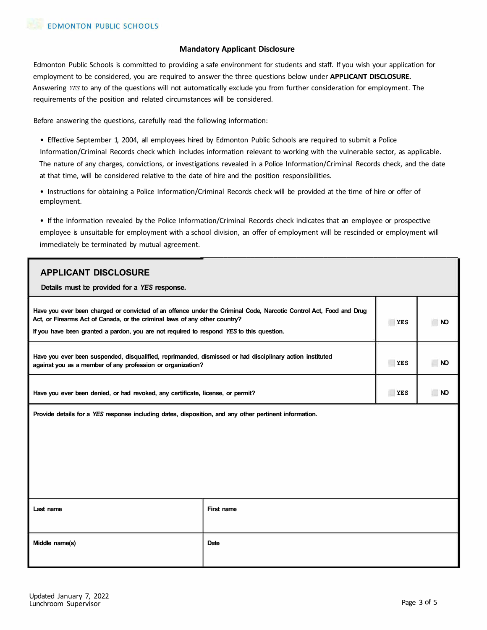#### **Mandatory Applicant Disclosure**

Edmonton Public Schools is committed to providing a safe environment for students and staff. If you wish your application for employment to be considered, you are required to answer the three questions below under **APPLICANT DISCLOSURE.**  Answering *YES* to any of the questions will not automatically exclude you from further consideration for employment. The requirements of the position and related circumstances will be considered.

Before answering the questions, carefully read the following information:

• Effective September 1, 2004, all employees hired by Edmonton Public Schools are required to submit a Police Information/Criminal Records check which includes information relevant to working with the vulnerable sector, as applicable. The nature of any charges, convictions, or investigations revealed in a Police Information/Criminal Records check, and the date at that time, will be considered relative to the date of hire and the position responsibilities.

• Instructions for obtaining a Police Information/Criminal Records check will be provided at the time of hire or offer of employment.

• If the information revealed by the Police Information/Criminal Records check indicates that an employee or prospective employee is unsuitable for employment with a school division, an offer of employment will be rescinded or employment will immediately be terminated by mutual agreement.

| <b>APPLICANT DISCLOSURE</b>                                                                                                                                                                                                                                                                                             |            |           |  |  |  |  |  |  |
|-------------------------------------------------------------------------------------------------------------------------------------------------------------------------------------------------------------------------------------------------------------------------------------------------------------------------|------------|-----------|--|--|--|--|--|--|
| Details must be provided for a YES response.                                                                                                                                                                                                                                                                            |            |           |  |  |  |  |  |  |
| Have you ever been charged or convicted of an offence under the Criminal Code, Narcotic Control Act, Food and Drug<br>Act, or Firearms Act of Canada, or the criminal laws of any other country?<br><b>NO</b><br><b>YES</b><br>If you have been granted a pardon, you are not required to respond YES to this question. |            |           |  |  |  |  |  |  |
| Have you ever been suspended, disqualified, reprimanded, dismissed or had disciplinary action instituted<br>against you as a member of any profession or organization?                                                                                                                                                  | <b>YES</b> | <b>NO</b> |  |  |  |  |  |  |
| n<br><b>NO</b><br><b>YES</b><br>Have you ever been denied, or had revoked, any certificate, license, or permit?                                                                                                                                                                                                         |            |           |  |  |  |  |  |  |
| Provide details for a YES response including dates, disposition, and any other pertinent information.                                                                                                                                                                                                                   |            |           |  |  |  |  |  |  |
|                                                                                                                                                                                                                                                                                                                         |            |           |  |  |  |  |  |  |
|                                                                                                                                                                                                                                                                                                                         |            |           |  |  |  |  |  |  |
|                                                                                                                                                                                                                                                                                                                         |            |           |  |  |  |  |  |  |
|                                                                                                                                                                                                                                                                                                                         |            |           |  |  |  |  |  |  |
|                                                                                                                                                                                                                                                                                                                         |            |           |  |  |  |  |  |  |
| First name<br>Last name                                                                                                                                                                                                                                                                                                 |            |           |  |  |  |  |  |  |
|                                                                                                                                                                                                                                                                                                                         |            |           |  |  |  |  |  |  |
| Middle name(s)<br>Date                                                                                                                                                                                                                                                                                                  |            |           |  |  |  |  |  |  |
|                                                                                                                                                                                                                                                                                                                         |            |           |  |  |  |  |  |  |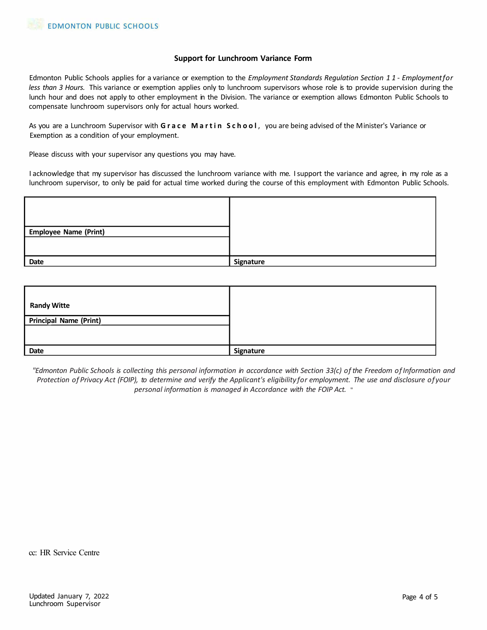#### **Support for Lunchroom Variance Form**

Edmonton Public Schools applies for a variance or exemption to the *Employment Standards Regulation Section 11- Employment for less than 3 Hours.* This variance or exemption applies only to lunchroom supervisors whose role is to provide supervision during the lunch hour and does not apply to other employment in the Division. The variance or exemption allows Edmonton Public Schools to compensate lunchroom supervisors only for actual hours worked.

As you are a Lunchroom Supervisor with **Grace Martin School** , you are being advised of the Minister's Variance or Exemption as a condition of your employment.

Please discuss with your supervisor any questions you may have.

I acknowledge that my supervisor has discussed the lunchroom variance with me. I support the variance and agree, in my role as a lunchroom supervisor, to only be paid for actual time worked during the course of this employment with Edmonton Public Schools.

| <b>Employee Name (Print)</b> |           |
|------------------------------|-----------|
|                              |           |
|                              |           |
| Date                         | Signature |

| <b>Randy Witte</b>            |           |
|-------------------------------|-----------|
| <b>Principal Name (Print)</b> |           |
|                               |           |
| <b>Date</b>                   | Signature |

*"Edmonton Public Schools is collecting this personal information in accordance with Section 33(c) of the Freedom of Information and Protection of Privacy Act (FOIP), to determine and verify the Applicant's eligibility for employment. The use and disclosure of your personal information is managed in Accordance with the FOIP Act.* "

cc: HR Service Centre